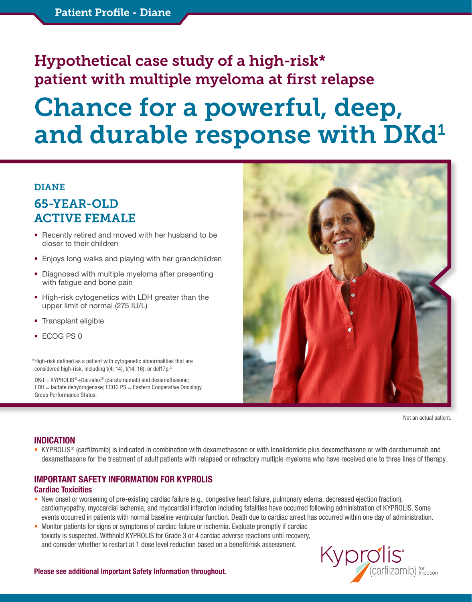## Hypothetical case study of a high-risk\* patient with multiple myeloma at first relapse

# Chance for a powerful, deep, and durable response with DKd<sup>1</sup>

#### DIANE

### 65-YEAR-OLD ACTIVE FEMALE

- Recently retired and moved with her husband to be closer to their children
- Enjoys long walks and playing with her grandchildren
- Diagnosed with multiple myeloma after presenting with fatigue and bone pain
- High-risk cytogenetics with LDH greater than the upper limit of normal (275 IU/L)
- Transplant eligible
- ECOG PS 0

\*High-risk defined as a patient with cytogenetic abnormalities that are considered high-risk, including t(4; 14), t(14; 16), or del17p.<sup>2</sup>

 $DKd = KYPROLIS<sup>®</sup> + Darzalex<sup>®</sup> (daratumumab)$  and dexamethasone; LDH = lactate dehydrogenase; ECOG PS = Eastern Cooperative Oncology Group Performance Status.



Not an actual patient.

#### INDICATION

• KYPROLIS® (carfilzomib) is indicated in combination with dexamethasone or with lenalidomide plus dexamethasone or with daratumumab and dexamethasone for the treatment of adult patients with relapsed or refractory multiple myeloma who have received one to three lines of therapy.

#### IMPORTANT SAFETY INFORMATION FOR KYPROLIS Cardiac Toxicities

- New onset or worsening of pre-existing cardiac failure (e.g., congestive heart failure, pulmonary edema, decreased ejection fraction), cardiomyopathy, myocardial ischemia, and myocardial infarction including fatalities have occurred following administration of KYPROLIS. Some events occurred in patients with normal baseline ventricular function. Death due to cardiac arrest has occurred within one day of administration.
- Monitor patients for signs or symptoms of cardiac failure or ischemia. Evaluate promptly if cardiac toxicity is suspected. Withhold KYPROLIS for Grade 3 or 4 cardiac adverse reactions until recovery, and consider whether to restart at 1 dose level reduction based on a benefit/risk assessment.

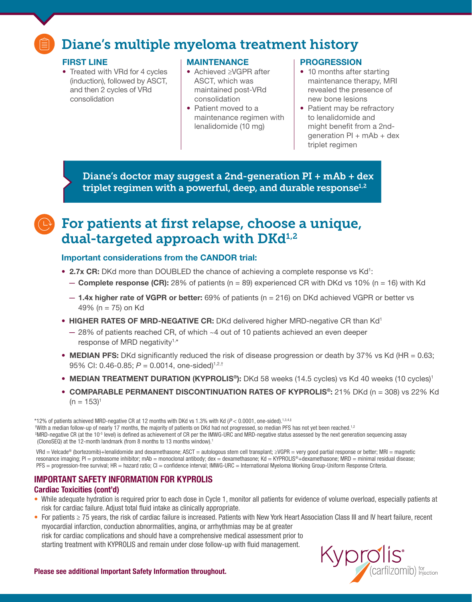### Diane's multiple myeloma treatment history

#### FIRST LINE

• Treated with VRd for 4 cycles (induction), followed by ASCT, and then 2 cycles of VRd consolidation

#### MAINTENANCE

- Achieved ≥VGPR after ASCT, which was maintained post-VRd consolidation
- Patient moved to a maintenance regimen with lenalidomide (10 mg)

#### PROGRESSION

- 10 months after starting maintenance therapy, MRI revealed the presence of new bone lesions
- Patient may be refractory to lenalidomide and might benefit from a 2ndgeneration  $PI + mAb + dex$ triplet regimen

Diane's doctor may suggest a 2nd-generation PI + mAb + dex triplet regimen with a powerful, deep, and durable response $^{1,2}$ 

### **P** For patients at first relapse, choose a unique, dual-targeted approach with  $DKd^{1,2}$

#### Important considerations from the CANDOR trial:

- 2.7x CR: DKd more than DOUBLED the chance of achieving a complete response vs Kd<sup>1</sup>:
	- **Complete response (CR):** 28% of patients ( $n = 89$ ) experienced CR with DKd vs 10% ( $n = 16$ ) with Kd
	- $-$  1.4x higher rate of VGPR or better: 69% of patients (n = 216) on DKd achieved VGPR or better vs 49% (n = 75) on Kd
- HIGHER RATES OF MRD-NEGATIVE CR: DKd delivered higher MRD-negative CR than Kd<sup>1</sup>
	- 28% of patients reached CR, of which ~4 out of 10 patients achieved an even deeper response of MRD negativity<sup>1,\*</sup>
- MEDIAN PFS: DKd significantly reduced the risk of disease progression or death by 37% vs Kd (HR = 0.63; 95% CI: 0.46-0.85; *P* = 0.0014, one-sided)<sup>1,2,†</sup>
- MEDIAN TREATMENT DURATION (KYPROLIS®): DKd 58 weeks (14.5 cycles) vs Kd 40 weeks (10 cycles)<sup>1</sup>
- COMPARABLE PERMANENT DISCONTINUATION RATES OF KYPROLIS®: 21% DKd (n = 308) vs 22% Kd  $(n = 153)^1$

\*12% of patients achieved MRD-negative CR at 12 months with DKd vs 1.3% with Kd (*P* < 0.0001, one-sided).1,3,4,‡ \*With a median follow-up of nearly 17 months, the majority of patients on DKd had not progressed, so median PFS has not yet been reached.<sup>1,2</sup> ‡ MRD-negative CR (at the 10-5 level) is defined as achievement of CR per the IMWG-URC and MRD-negative status assessed by the next generation sequencing assay (ClonoSEQ) at the 12-month landmark (from 8 months to 13 months window).<sup>1</sup>

VRd = Velcade® (bortezomib)+lenalidomide and dexamethasone; ASCT = autologous stem cell transplant; ≥VGPR = very good partial response or better; MRI = magnetic resonance imaging; PI = proteasome inhibitor; mAb = monoclonal antibody; dex = dexamethasone; Kd = KYPROLIS®+dexamethasone; MRD = minimal residual disease; PFS = progression-free survival; HR = hazard ratio; CI = confidence interval; IMWG-URC = International Myeloma Working Group-Uniform Response Criteria.

### . IMPORTANT SAFETY INFORMATION FOR KYPROLIS

#### Cardiac Toxicities (cont'd)

- While adequate hydration is required prior to each dose in Cycle 1, monitor all patients for evidence of volume overload, especially patients at risk for cardiac failure. Adjust total fluid intake as clinically appropriate.
- For patients ≥ 75 years, the risk of cardiac failure is increased. Patients with New York Heart Association Class III and IV heart failure, recent myocardial infarction, conduction abnormalities, angina, or arrhythmias may be at greater risk for cardiac complications and should have a comprehensive medical assessment prior to starting treatment with KYPROLIS and remain under close follow-up with fluid management.

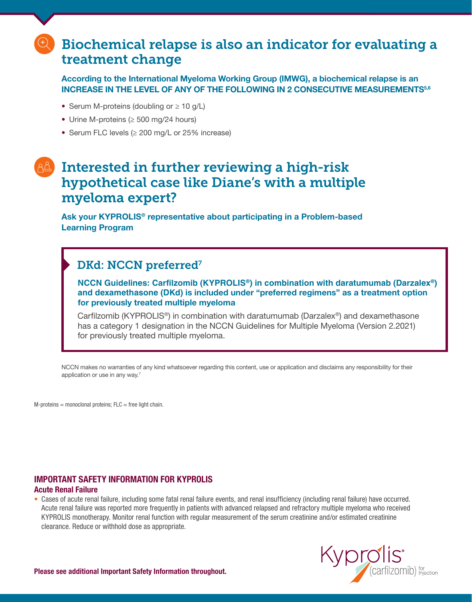### Biochemical relapse is also an indicator for evaluating a treatment change

According to the International Myeloma Working Group (IMWG), a biochemical relapse is an INCREASE IN THE LEVEL OF ANY OF THE FOLLOWING IN 2 CONSECUTIVE MEASUREMENTS<sup>5,6</sup>

- Serum M-proteins (doubling or ≥ 10 g/L)
- Urine M-proteins (≥ 500 mg/24 hours)
- Serum FLC levels (≥ 200 mg/L or 25% increase)

### Interested in further reviewing a high-risk hypothetical case like Diane's with a multiple myeloma expert?

Ask your KYPROLIS® representative about participating in a Problem-based Learning Program

### DKd: NCCN preferred<sup>7</sup>

**NCCN Guidelines: Carfilzomib (KYPROLIS®) in combination with daratumumab (Darzalex®) and dexamethasone (DKd)** is included under "preferred regimens" as a treatment option for previously treated multiple myeloma

Carfilzomib (KYPROLIS®) in combination with daratumumab (Darzalex®) and dexamethasone has a category 1 designation in the NCCN Guidelines for Multiple Myeloma (Version 2.2021) for previously treated multiple myeloma.

NCCN makes no warranties of any kind whatsoever regarding this content, use or application and disclaims any responsibility for their application or use in any way.7

 $M$ -proteins = monoclonal proteins;  $FLC$  = free light chain.

#### IMPORTANT SAFETY INFORMATION FOR KYPROLIS Acute Renal Failure

• Cases of acute renal failure, including some fatal renal failure events, and renal insufficiency (including renal failure) have occurred. Acute renal failure was reported more frequently in patients with advanced relapsed and refractory multiple myeloma who received KYPROLIS monotherapy. Monitor renal function with regular measurement of the serum creatinine and/or estimated creatinine clearance. Reduce or withhold dose as appropriate.

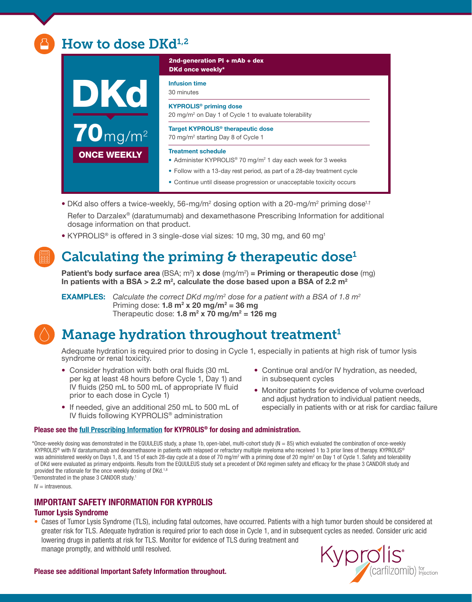### How to dose  $\mathrm{D}\mathrm{Kd}^{1,2}$



2nd-generation PI + mAb + dex DKd once weekly\*

Infusion time

30 minutes

KYPROLIS® priming dose 20 mg/m<sup>2</sup> on Day 1 of Cycle 1 to evaluate tolerability

Target KYPROLIS® therapeutic dose 70 mg/m<sup>2</sup> starting Day 8 of Cycle 1

#### Treatment schedule

- Administer KYPROLIS® 70 mg/m<sup>2</sup> 1 day each week for 3 weeks
- Follow with a 13-day rest period, as part of a 28-day treatment cycle
- Continue until disease progression or unacceptable toxicity occurs
- DKd also offers a twice-weekly, 56-mg/m<sup>2</sup> dosing option with a 20-mg/m<sup>2</sup> priming dose<sup>1,†</sup> Refer to Darzalex® (daratumumab) and dexamethasone Prescribing Information for additional

dosage information on that product.

• KYPROLIS<sup>®</sup> is offered in 3 single-dose vial sizes: 10 mg, 30 mg, and 60 mg<sup>1</sup>

### Calculating the priming  $\theta$  therapeutic dose<sup>1</sup>

Patient's body surface area (BSA; m<sup>2</sup>) **x** dose (mg/m<sup>2</sup>) = Priming or therapeutic dose (mg) In patients with a BSA > 2.2  $\text{m}^2$ , calculate the dose based upon a BSA of 2.2  $\text{m}^2$ 

**EXAMPLES:** Calculate the correct DKd mg/m<sup>2</sup> dose for a patient with a BSA of 1.8 m<sup>2</sup> Priming dose:  $1.8 \text{ m}^2 \times 20 \text{ mg/m}^2 = 36 \text{ mg}$ Therapeutic dose:  $1.8 \text{ m}^2 \times 70 \text{ mg/m}^2 = 126 \text{ mg}$ 

### Manage hydration throughout treatment<sup>1</sup>

Adequate hydration is required prior to dosing in Cycle 1, especially in patients at high risk of tumor lysis syndrome or renal toxicity.

- Consider hydration with both oral fluids (30 mL per kg at least 48 hours before Cycle 1, Day 1) and IV fluids (250 mL to 500 mL of appropriate IV fluid prior to each dose in Cycle 1)
- If needed, give an additional 250 mL to 500 mL of IV fluids following KYPROLIS® administration

#### • Continue oral and/or IV hydration, as needed, in subsequent cycles

• Monitor patients for evidence of volume overload and adjust hydration to individual patient needs, especially in patients with or at risk for cardiac failure

#### Please see the [full Prescribing Information](https://www.pi.amgen.com/united_states/kyprolis/kyprolis_pi.pdf) for KYPROLIS® for dosing and administration.

\*Once-weekly dosing was demonstrated in the EQUULEUS study, a phase 1b, open-label, multi-cohort study ( $N = 85$ ) which evaluated the combination of once-weekly KYPROLIS<sup>®</sup> with IV daratumumab and dexamethasone in patients with relapsed or refractory multiple myeloma who received 1 to 3 prior lines of therapy. KYPROLIS<sup>®</sup> was administered weekly on Days 1, 8, and 15 of each 28-day cycle at a dose of 70 mg/m² with a priming dose of 20 mg/m² on Day 1 of Cycle 1. Safety and tolerability of DKd were evaluated as primary endpoints. Results from the EQUULEUS study set a precedent of DKd regimen safety and efficacy for the phase 3 CANDOR study and provided the rationale for the once weekly dosing of DKd.<sup>1,8</sup> <sup>†</sup>Demonstrated in the phase 3 CANDOR study.<sup>1</sup>

 $IV =$  intravenous.

#### IMPORTANT SAFETY INFORMATION FOR KYPROLIS

#### Tumor Lysis Syndrome

• Cases of Tumor Lysis Syndrome (TLS), including fatal outcomes, have occurred. Patients with a high tumor burden should be considered at greater risk for TLS. Adequate hydration is required prior to each dose in Cycle 1, and in subsequent cycles as needed. Consider uric acid lowering drugs in patients at risk for TLS. Monitor for evidence of TLS during treatment and manage promptly, and withhold until resolved.



Please see additional Important Safety Information throughout.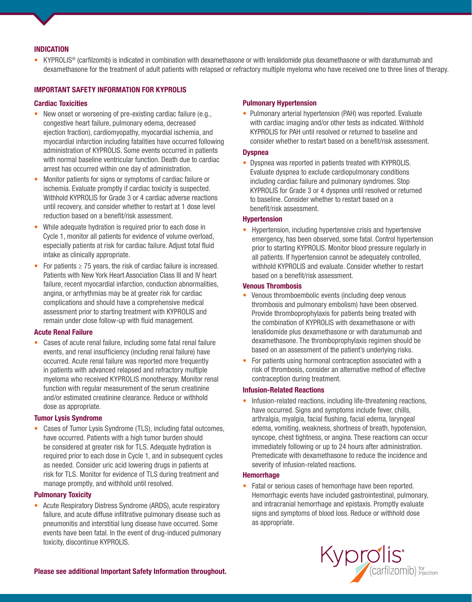#### INDICATION

• KYPROLIS® (carfilzomib) is indicated in combination with dexamethasone or with lenalidomide plus dexamethasone or with daratumumab and dexamethasone for the treatment of adult patients with relapsed or refractory multiple myeloma who have received one to three lines of therapy.

#### IMPORTANT SAFETY INFORMATION FOR KYPROLIS

#### Cardiac Toxicities

- New onset or worsening of pre-existing cardiac failure (e.g., congestive heart failure, pulmonary edema, decreased ejection fraction), cardiomyopathy, myocardial ischemia, and myocardial infarction including fatalities have occurred following administration of KYPROLIS. Some events occurred in patients with normal baseline ventricular function. Death due to cardiac arrest has occurred within one day of administration.
- Monitor patients for signs or symptoms of cardiac failure or ischemia. Evaluate promptly if cardiac toxicity is suspected. Withhold KYPROLIS for Grade 3 or 4 cardiac adverse reactions until recovery, and consider whether to restart at 1 dose level reduction based on a benefit/risk assessment.
- While adequate hydration is required prior to each dose in Cycle 1, monitor all patients for evidence of volume overload, especially patients at risk for cardiac failure. Adjust total fluid intake as clinically appropriate.
- For patients  $\geq$  75 years, the risk of cardiac failure is increased. Patients with New York Heart Association Class III and IV heart failure, recent myocardial infarction, conduction abnormalities, angina, or arrhythmias may be at greater risk for cardiac complications and should have a comprehensive medical assessment prior to starting treatment with KYPROLIS and remain under close follow-up with fluid management.

#### Acute Renal Failure

• Cases of acute renal failure, including some fatal renal failure events, and renal insufficiency (including renal failure) have occurred. Acute renal failure was reported more frequently in patients with advanced relapsed and refractory multiple myeloma who received KYPROLIS monotherapy. Monitor renal function with regular measurement of the serum creatinine and/or estimated creatinine clearance. Reduce or withhold dose as appropriate.

#### Tumor Lysis Syndrome

• Cases of Tumor Lysis Syndrome (TLS), including fatal outcomes, have occurred. Patients with a high tumor burden should be considered at greater risk for TLS. Adequate hydration is required prior to each dose in Cycle 1, and in subsequent cycles as needed. Consider uric acid lowering drugs in patients at risk for TLS. Monitor for evidence of TLS during treatment and manage promptly, and withhold until resolved.

#### Pulmonary Toxicity

• Acute Respiratory Distress Syndrome (ARDS), acute respiratory failure, and acute diffuse infiltrative pulmonary disease such as pneumonitis and interstitial lung disease have occurred. Some events have been fatal. In the event of drug‐induced pulmonary toxicity, discontinue KYPROLIS.

#### Pulmonary Hypertension

• Pulmonary arterial hypertension (PAH) was reported. Evaluate with cardiac imaging and/or other tests as indicated. Withhold KYPROLIS for PAH until resolved or returned to baseline and consider whether to restart based on a benefit/risk assessment.

#### **Dyspnea**

• Dyspnea was reported in patients treated with KYPROLIS. Evaluate dyspnea to exclude cardiopulmonary conditions including cardiac failure and pulmonary syndromes. Stop KYPROLIS for Grade 3 or 4 dyspnea until resolved or returned to baseline. Consider whether to restart based on a benefit/risk assessment.

#### **Hypertension**

• Hypertension, including hypertensive crisis and hypertensive emergency, has been observed, some fatal. Control hypertension prior to starting KYPROLIS. Monitor blood pressure regularly in all patients. If hypertension cannot be adequately controlled, withhold KYPROLIS and evaluate. Consider whether to restart based on a benefit/risk assessment.

#### Venous Thrombosis

- Venous thromboembolic events (including deep venous thrombosis and pulmonary embolism) have been observed. Provide thromboprophylaxis for patients being treated with the combination of KYPROLIS with dexamethasone or with lenalidomide plus dexamethasone or with daratumumab and dexamethasone. The thromboprophylaxis regimen should be based on an assessment of the patient's underlying risks.
- For patients using hormonal contraception associated with a risk of thrombosis, consider an alternative method of effective contraception during treatment.

#### Infusion-Related Reactions

• Infusion-related reactions, including life-threatening reactions, have occurred. Signs and symptoms include fever, chills, arthralgia, myalgia, facial flushing, facial edema, laryngeal edema, vomiting, weakness, shortness of breath, hypotension, syncope, chest tightness, or angina. These reactions can occur immediately following or up to 24 hours after administration. Premedicate with dexamethasone to reduce the incidence and severity of infusion-related reactions.

#### **Hemorrhage**

• Fatal or serious cases of hemorrhage have been reported. Hemorrhagic events have included gastrointestinal, pulmonary, and intracranial hemorrhage and epistaxis. Promptly evaluate signs and symptoms of blood loss. Reduce or withhold dose as appropriate.